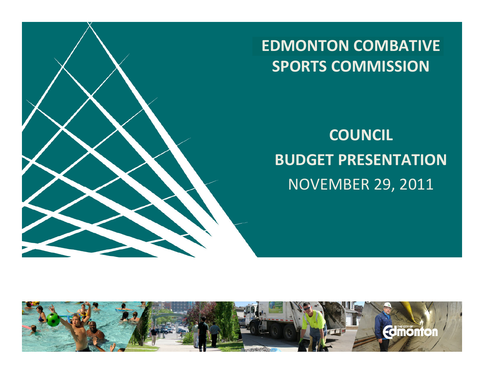

#### **EDMONTON COMBATIVE SPORTS COMMISSION**

#### **COUNCIL BUDGET PRESENTATION** NOVEMBER 29, 2011

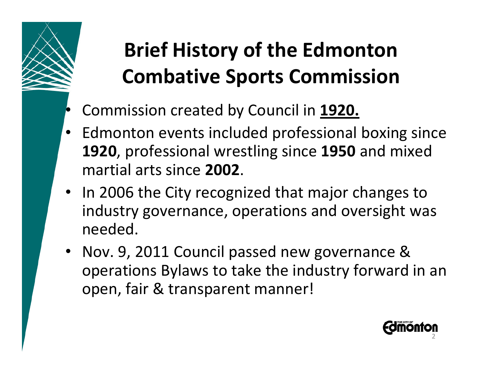# **Brief History of the Edmonton Combative Sports Commission**

- Commission created by Council in **1920.**
- Edmonton events included professional boxing since **1920**, professional wrestling since **1950** and mixed martial arts since **2002**.
- In 2006 the City recognized that major changes to industry governance, operations and oversight was needed.
- Nov. 9, 2011 Council passed new governance & operations Bylaws to take the industry forward in an open, fair & transparent manner!

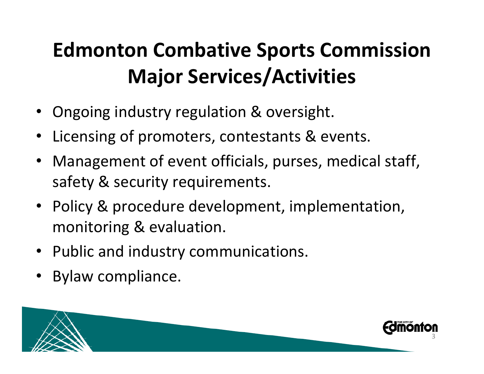### **Edmonton Combative Sports Commission Major Services/Activities**

- Ongoing industry regulation & oversight.
- Licensing of promoters, contestants & events.
- Management of event officials, purses, medical staff, safety & security requirements.
- Policy & procedure development, implementation, monitoring & evaluation.
- Public and industry communications.
- Bylaw compliance.

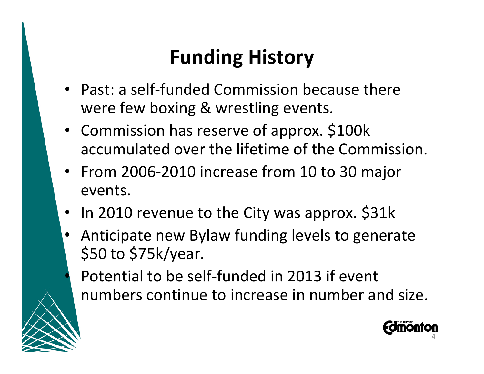#### **Funding History**

- Past: a self-funded Commission because there were few boxing & wrestling events.
- Commission has reserve of approx. \$100k accumulated over the lifetime of the Commission.
- From 2006-2010 increase from 10 to 30 major events.
- In 2010 revenue to the City was approx. \$31k
- Anticipate new Bylaw funding levels to generate \$50 to \$75k/year.

Potential to be self-funded in 2013 if event numbers continue to increase in number and size.